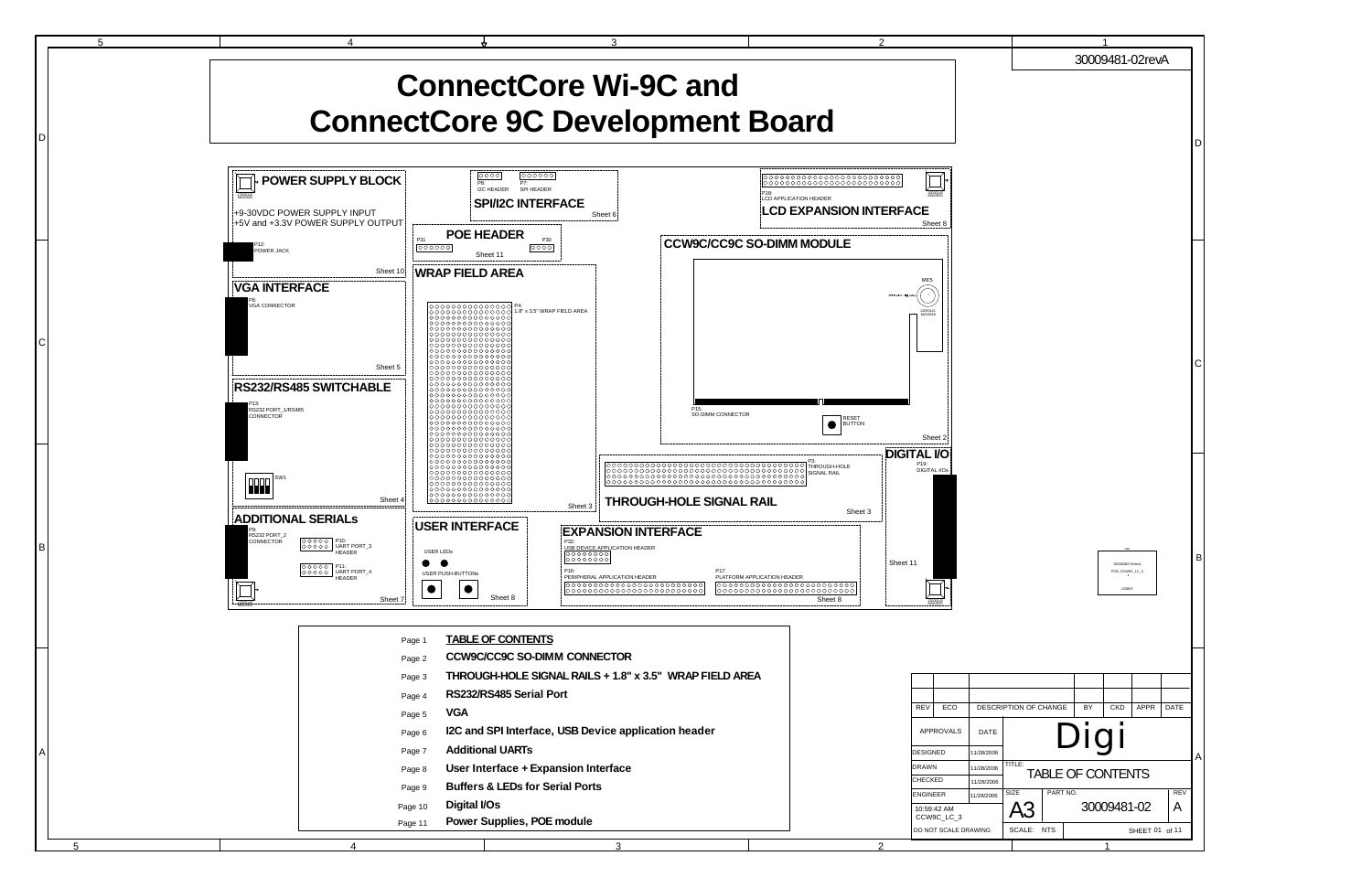

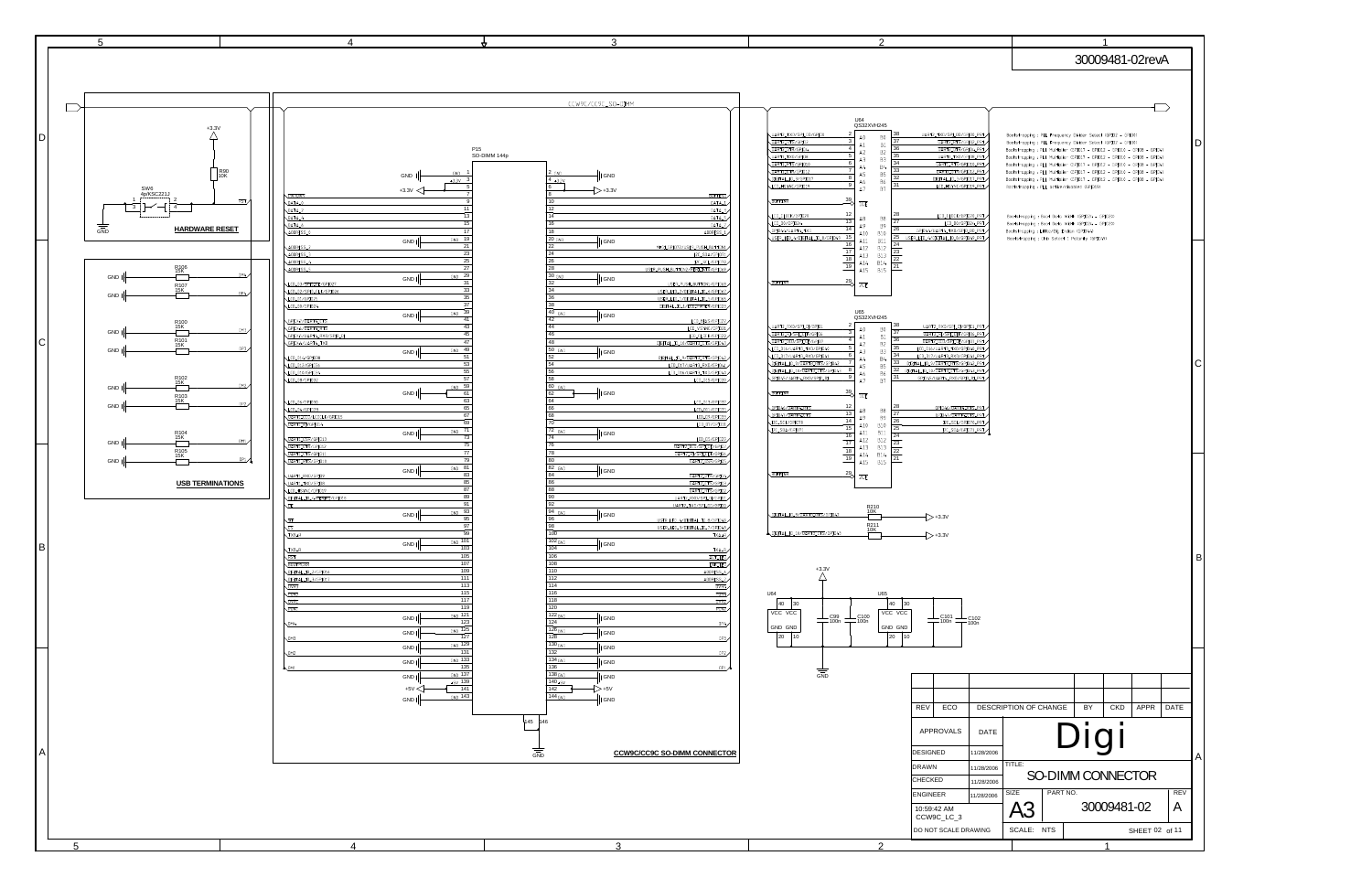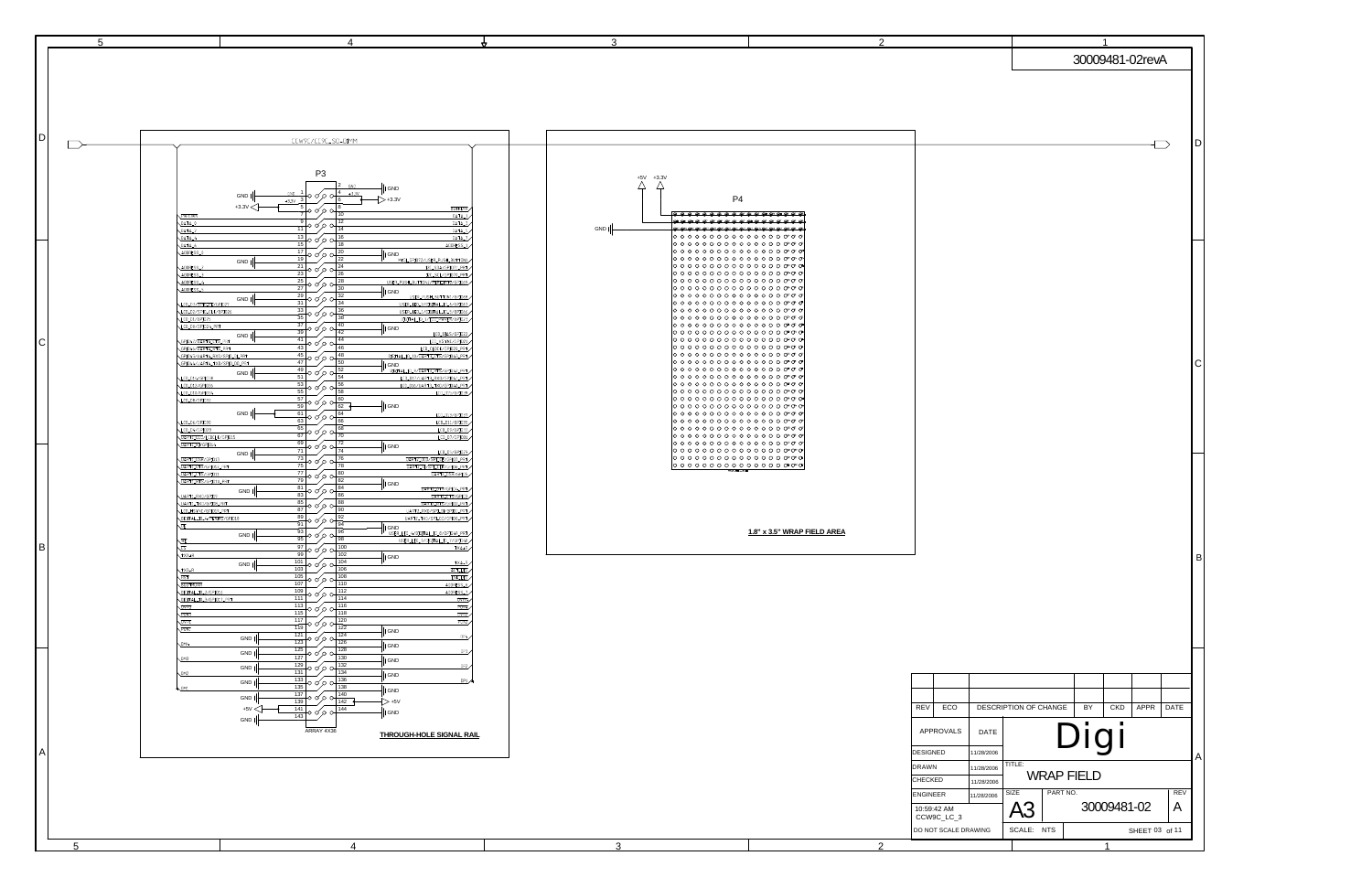| IDI            | CCW9C/CC9C_SO-DIMM                                                                                                                                                                                                                                                                                                                                                                                                                                                                                                                                                                                                                                                                                                                                                                                                                                                                                                                                                                                                                                                                                                                                                                                                                                                                                                                                                                                                                                                                                                                                                                 |                                                                                                                                                                                                                                                                                                                                                                                                                                                                                                                                                                                                                                                                                   |                                                   |
|----------------|------------------------------------------------------------------------------------------------------------------------------------------------------------------------------------------------------------------------------------------------------------------------------------------------------------------------------------------------------------------------------------------------------------------------------------------------------------------------------------------------------------------------------------------------------------------------------------------------------------------------------------------------------------------------------------------------------------------------------------------------------------------------------------------------------------------------------------------------------------------------------------------------------------------------------------------------------------------------------------------------------------------------------------------------------------------------------------------------------------------------------------------------------------------------------------------------------------------------------------------------------------------------------------------------------------------------------------------------------------------------------------------------------------------------------------------------------------------------------------------------------------------------------------------------------------------------------------|-----------------------------------------------------------------------------------------------------------------------------------------------------------------------------------------------------------------------------------------------------------------------------------------------------------------------------------------------------------------------------------------------------------------------------------------------------------------------------------------------------------------------------------------------------------------------------------------------------------------------------------------------------------------------------------|---------------------------------------------------|
|                | P <sub>3</sub><br>GND<br>I GND<br>$10000\frac{4}{2}+33V$<br>$GND$ 1<br>GND I<br>$> +3.3V$<br>$+3.3v$ 3<br>l 6<br>$+3.3V$<br>$\frac{5}{7}$ 0 0 0 0<br><b>BUFFENR</b><br>7<br>10<br>DATA_1<br>PWRDWN<br>9<br>12<br>DATA_0<br>DATA_3<br>+0 o′ o o+<br>11<br>14<br>DATA_5<br>$DATA_2$<br>13<br>16<br>DATA <sub>-4</sub><br>$DATA_7$<br>0000 A<br>$15$ $\degree$<br>18<br>$DATA_6$<br>ADDRESS_1<br>$\frac{17}{19}$ 0 0 0 0<br>20<br>ADDRESS_0<br>   GND<br>22<br>MFGL.GPI072/USER_PUSH_BUTTON1<br>GND  <br>$\frac{1}{\sqrt{21}} \circ \circ \circ \circ$<br>24<br>ADDRESS_2<br>I2C_SDA/GPI071_PRT<br>23<br>26<br>I2C_SCL/GPI070_PRT<br>ADDRESS_3<br>$\frac{1}{25}$ o $\circ$ o $\circ$<br>28<br>USER_PUSH_BUTTON2/PERI_INTO/GPI069<br>ADDRESS_4                                                                                                                                                                                                                                                                                                                                                                                                                                                                                                                                                                                                                                                                                                                                                                                                                                         | $+5V +3.3V$<br>Δ<br>Д<br>P4<br><del>.</del><br>,,,,,,,,,,,,,,,,,,<br>GND  <br>0 0 0 0 0 0 0 0 0 0 0 0 0 0 0 0 0 0 0<br>0000000000000000000<br> ೦೦೦೦೦೦೦೦೦೦೦೦೦೦೦೦೧<br> ○ ○ ○ ○ ○ ○ ○ ○ ○ ○ ○ ○ ○ ○ ○ ♂ ♂ ♂ <br> ○ ○ ○ ○ ○ ○ ○ ○ ○ ○ ○ ○ ○ ○ ○ ♂ ♂ ♂ <br> 0 0 0 0 0 0 0 0 0 0 0 0 0 0 0 0 0 0<br> ೦೦೦೦೦೦೦೦೦೦೦೦೦೦೦೦೧ ೧೯                                                                                                                                                                                                                                                                                                                                                               |                                                   |
| IС             | 27<br>30<br>ADDRESS_5<br>   GND<br>29<br>32<br>USER_PUSH_BUTTON1/GPI068<br>GND  <br>р ор ор<br>31<br>34<br>LCD_D3/SPID_CE/GPI027<br>USER_LED_2/DIGITAL_IO_6/GPI067<br>$\frac{1}{33}$ o o o o d<br>36<br>LCD_D2/SPID_CLK/GPI026<br>USER_LED_1/DIGITAL_IO_5/GPI066<br>35<br>38<br>DIGITAL_IO_1/LCD_PWREN/GPI023<br>LCD_D1/GPI025<br>$\frac{37}{39}$ 0 0 0 0 0<br>40<br>LCD_D0/GPI024_PRT<br>   GND<br>42<br>LCD_BIAS/GPI022<br>GND  <br>$\frac{41}{41}$ o o o o +<br>44<br>GPI047/UART4_CTS_PRT<br>LCD_VSYNC/GPIO21<br>46<br>LCD_CLOCK/GPID20_PRT<br>GPI046/UART4_RTS_PRT<br>$\frac{45}{45}$ o o o o d<br>48<br>GPI045/UART4_RXD/SPID_DL_PRT<br>DIGITAL_IO_10/UART3_CTS/GPI043_PRT<br>47<br>50<br>GPI044/UART4_TXD/SPID_DO_PRT<br>IGND<br><u>DIGITAL_IO_9/UART3_RTS/GPI042_PRT</u><br>49<br>52<br>GND  <br>†० ० ० ० <del>।</del><br>51<br>54<br>LCD_D17/UART3_RXD/GPI041_PRT<br>LCD_D14/GPI038<br>53<br>56<br>LCD_D16/UART3_TXD/GPI040_PRT<br>LCD_D12/GPI036<br>⊦о о о о<br>55<br>58<br>LCD_D15/GPI039<br>LCD_D10/GPI034<br>$\frac{57}{50}$ o q<br>60<br>LCD_DB/GPI032<br>$\frac{1}{2}$ GND<br>59<br>62<br>GND  <br>61<br>64<br>LCD_D13/GPI037<br>0 d o ol<br>63<br>66<br>LCD_D11/GPI035<br>LCD_D6/GPI030<br>$\frac{65}{65}$ o o ol<br>68<br>LCD_D9/GPI033<br>LCD_D4/GPI028<br>67                                                                                                                                                                                                                                                                                                    | ∣ㅇㅇㅇㅇㅇㅇㅇㅇㅇㅇㅇㅇㅇㅇ 0* 0* 0* <br>$ 0\circ0\circ0\circ0\circ0\circ0\circ0\circ0\circ0$<br> ○ ○ ○ ○ ○ ○ ○ ○ ○ ○ ○ ○ ○ ○ ○ ♂ ♂ ♂ <br> 0 0 0 0 0 0 0 0 0 0 0 0 0 0 0 0 0 0<br> ೦೦೦೦೦೦೦೦೦೦೦೦೦೦೦೦೧**<br> ೦೦೦೦೦೦೦೦೦೦೦೦೦೦೦೦೧<br> ○ ○ ○ ○ ○ ○ ○ ○ ○ ○ ○ ○ ○ ○ ○ ○ ○ ○ ○<br> ○ ○ ○ ○ ○ ○ ○ ○ ○ ○ ○ ○ ○ ○ ○ ○ ○ ○ ○<br> 0 0 0 0 0 0 0 0 0 0 0 0 0 0 0 0 0 0<br> 0 0 0 0 0 0 0 0 0 0 0 0 0 0 0 0 0 0<br> ೦೦೦೦೦೦೦೦೦೦೦೦೦೦೦೦೧ 0<br>∣०००००००००००००००० ०<br> 0 0 0 0 0 0 0 0 0 0 0 0 0 0 0 0 0 0<br> ○ ○ ○ ○ ○ ○ ○ ○ ○ ○ ○ ○ ○ ○ ○ ○ ○ ○<br> ○ ○ ○ ○ ○ ○ ○ ○ ○ ○ ○ ○ ○ ○ ○ ○ ○ ○ ○<br>∣ㅇㅇㅇㅇㅇㅇㅇㅇㅇㅇㅇㅇㅇㅇ 0*0* 0* <br> ○ ○ ○ ○ ○ ○ ○ ○ ○ ○ ○ ○ ○ ○ ○ ○ ○ ○<br> ೦೦೦೦೦೦೦೦೦೦೦೦೦೦೦೦೧ ೧<br> ೦೦೦೦೦೦೦೦೦೦೦೦೦೦೦೦೧ ೧ |                                                   |
| B              | 70<br>UART1_DCD/LCDCLK/GPI015<br>LCD_07/GPI031<br>69<br>72<br>UART1_RT/GPI014<br>⊦० ० ० ० ०<br>I GND<br>71<br>74<br>LCD_D5/GPI029<br>GND  <br>73<br>76<br>UART2_DCD/SPLCE/GPI07_PRT<br>UART1_DSR/GPI013<br>ю бо он<br>75<br>78<br>UART1_DTR/GPI012_PRT<br>UART2_RI/SPI_CLK/GPI06_PRT<br>- 77 L<br>80<br>UART2_DSR/GPI05<br>UART1_CTS/GPI011<br>обоо<br>79<br>82<br>UART1_RTS/GPI010_PRT<br>I GND<br>$\frac{81}{100}$ o $\infty$ o $\mapsto$<br>84<br>UART2_DTR/GPI04_PRT<br>GND<br>83<br>86<br>UART1_RXD/GPI09<br>UARTZ_CTS/GPI03<br>85<br>88<br>UART2_RTS/GPI02_PRT<br>UART1_TXD/GPI08_PRT<br>००००<br>87<br>90<br>LCD_HSYNC/GPI019_PRT<br>UART2_RXD/SPL.DI/GPIO1_PRT<br>89<br>92<br>UART2_TXD/SPL_DO/GPIO0_PRT<br>DIGITAL_IO_4/PENIRO/GPI018<br>०००० ०⊦<br>91<br>94<br>. DE<br>I GND<br>93 <br>96<br>USER_LED_4/DIGITAL_IO_8/GPI049_PRT<br>GND  <br>обоо<br>95<br>98<br>USER_LED_3/DIGITAL_IO_7/GPI048<br>WE<br>$\frac{1}{\sqrt{97}}$ o d $\circ$ o<br>100<br>$\sqrt{25}$<br>TXA+R<br>$99^{\degree}$<br>102<br>$TXB+R$<br>   GND<br>101<br>104<br>TXA-R<br>GND  <br>⊦० ० ० ०<br>103<br>106<br>ACT_LED<br>$TXB-R$<br>$\frac{105}{105}$ o ofo of<br>108<br><b>LNK_LED</b><br>RST<br>107<br>110<br>ADDRESS_6<br><b>BOOTMUXR</b><br>109<br>112<br>ADDRESS_7<br>DIGITAL_IO_2/GPI016<br>० ० ० ०।<br>111<br>114<br>DIGITAL_IO_3/GPI017_PRT<br><b>OVR4</b><br>$\frac{113}{116} \circ \circ \circ \circ \circ \frac{118}{118}$<br>PON <sub>4</sub><br>_OVR3<br>$\overline{OVRZ}$<br>PON3<br>$\frac{1}{117}$ 0 0/0<br>120<br>OVRI<br>PON <sub>2</sub><br>119<br>122<br>PONT<br>  GND<br>124 | ೦೦೦೦೦೦೦೦೦೦೦೦೦೦೦೦೧ ೧<br> 0 0 0 0 0 0 0 0 0 0 0 0 0 0 0 0 0 0<br> ○ ○ ○ ○ ○ ○ ○ ○ ○ ○ ○ ○ ○ ○ ○ ○ ○ ○ ○<br><u> </u> ○ ○ ○ ○ ○ ○ ○ ○ ○ ○ ○ ○ ○ ○ ○ ○ ○ ○ ○<br>1.8" x 3.5" WRAP FIELD AREA                                                                                                                                                                                                                                                                                                                                                                                                                                                                                            |                                                   |
|                | $\frac{121}{120}$ o o/o o+<br>DP4<br>GND  <br>126<br>M4<br>$\parallel$ GND<br>$\frac{125}{125}$ o o o o o o t<br>128<br>DP3<br>GND  <br>127<br>130<br>EMB<br>   GND<br>132<br>DP2                                                                                                                                                                                                                                                                                                                                                                                                                                                                                                                                                                                                                                                                                                                                                                                                                                                                                                                                                                                                                                                                                                                                                                                                                                                                                                                                                                                                  |                                                                                                                                                                                                                                                                                                                                                                                                                                                                                                                                                                                                                                                                                   |                                                   |
|                | GND  <br>$\frac{1}{131}$ o $\circ$ o $\frac{1}{1}$<br>134<br>M2<br>   GND<br>133<br>136<br>DP1<br>GND  <br>⊦००००<br>135<br>138<br>OM1<br>I GND                                                                                                                                                                                                                                                                                                                                                                                                                                                                                                                                                                                                                                                                                                                                                                                                                                                                                                                                                                                                                                                                                                                                                                                                                                                                                                                                                                                                                                     |                                                                                                                                                                                                                                                                                                                                                                                                                                                                                                                                                                                                                                                                                   |                                                   |
|                | 137<br>140<br>GND  <br>⊦००००<br>142<br>139<br>$\rightarrow$ +5V<br>$+5V <$<br>141<br>144                                                                                                                                                                                                                                                                                                                                                                                                                                                                                                                                                                                                                                                                                                                                                                                                                                                                                                                                                                                                                                                                                                                                                                                                                                                                                                                                                                                                                                                                                           |                                                                                                                                                                                                                                                                                                                                                                                                                                                                                                                                                                                                                                                                                   | REV<br>ECO<br><b>DESCI</b>                        |
|                | †० ०⁄० ०⊦<br>   GND<br>143<br>GND  <br>ARRAY 4X36<br>THROUGH-HOLE SIGNAL RAIL                                                                                                                                                                                                                                                                                                                                                                                                                                                                                                                                                                                                                                                                                                                                                                                                                                                                                                                                                                                                                                                                                                                                                                                                                                                                                                                                                                                                                                                                                                      |                                                                                                                                                                                                                                                                                                                                                                                                                                                                                                                                                                                                                                                                                   | APPROVALS<br>DATE                                 |
| $\overline{A}$ |                                                                                                                                                                                                                                                                                                                                                                                                                                                                                                                                                                                                                                                                                                                                                                                                                                                                                                                                                                                                                                                                                                                                                                                                                                                                                                                                                                                                                                                                                                                                                                                    |                                                                                                                                                                                                                                                                                                                                                                                                                                                                                                                                                                                                                                                                                   | <b>DESIGNED</b><br>11/28/2006                     |
|                |                                                                                                                                                                                                                                                                                                                                                                                                                                                                                                                                                                                                                                                                                                                                                                                                                                                                                                                                                                                                                                                                                                                                                                                                                                                                                                                                                                                                                                                                                                                                                                                    |                                                                                                                                                                                                                                                                                                                                                                                                                                                                                                                                                                                                                                                                                   | DRAWN<br>11/28/2006                               |
|                |                                                                                                                                                                                                                                                                                                                                                                                                                                                                                                                                                                                                                                                                                                                                                                                                                                                                                                                                                                                                                                                                                                                                                                                                                                                                                                                                                                                                                                                                                                                                                                                    |                                                                                                                                                                                                                                                                                                                                                                                                                                                                                                                                                                                                                                                                                   | CHECKED<br>11/28/2006                             |
|                |                                                                                                                                                                                                                                                                                                                                                                                                                                                                                                                                                                                                                                                                                                                                                                                                                                                                                                                                                                                                                                                                                                                                                                                                                                                                                                                                                                                                                                                                                                                                                                                    |                                                                                                                                                                                                                                                                                                                                                                                                                                                                                                                                                                                                                                                                                   | <b>ENGINEER</b><br>11/28/2006                     |
|                |                                                                                                                                                                                                                                                                                                                                                                                                                                                                                                                                                                                                                                                                                                                                                                                                                                                                                                                                                                                                                                                                                                                                                                                                                                                                                                                                                                                                                                                                                                                                                                                    |                                                                                                                                                                                                                                                                                                                                                                                                                                                                                                                                                                                                                                                                                   | 10:59:42 AM<br>CCW9C_LC_3<br>DO NOT SCALE DRAWING |
| 5              | $\overline{4}$                                                                                                                                                                                                                                                                                                                                                                                                                                                                                                                                                                                                                                                                                                                                                                                                                                                                                                                                                                                                                                                                                                                                                                                                                                                                                                                                                                                                                                                                                                                                                                     | 3<br>2                                                                                                                                                                                                                                                                                                                                                                                                                                                                                                                                                                                                                                                                            |                                                   |

 $\overline{2}$ 

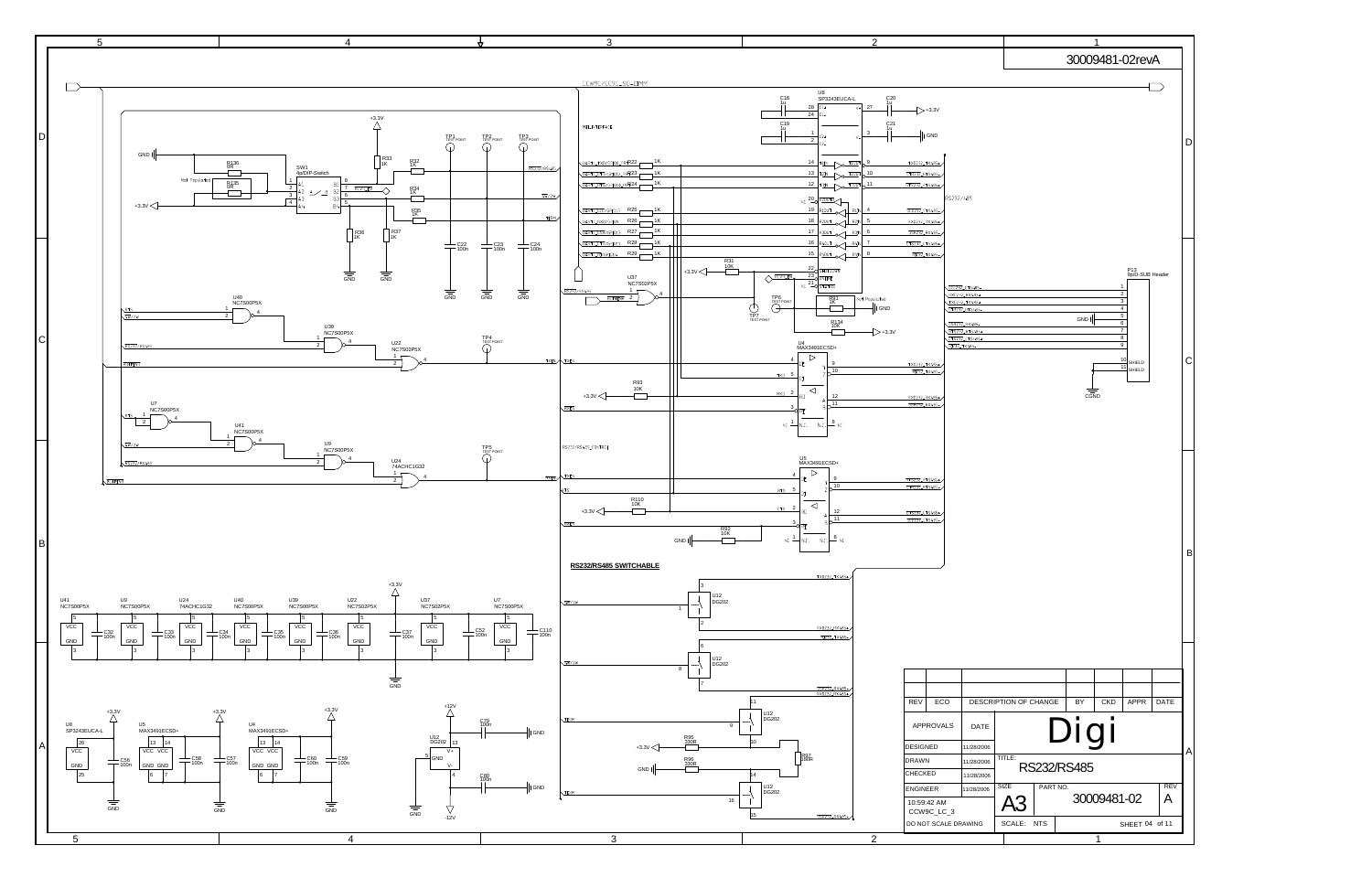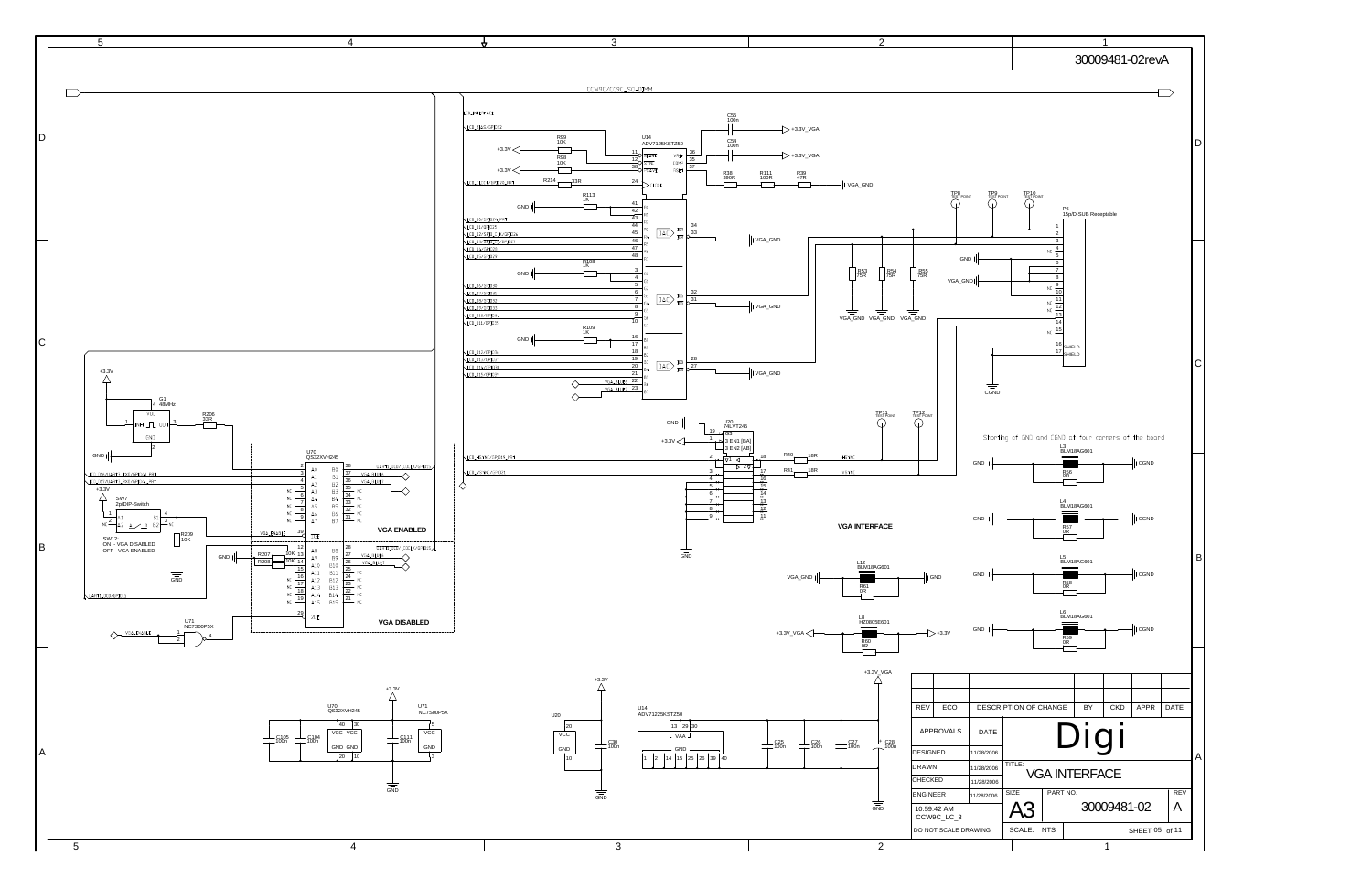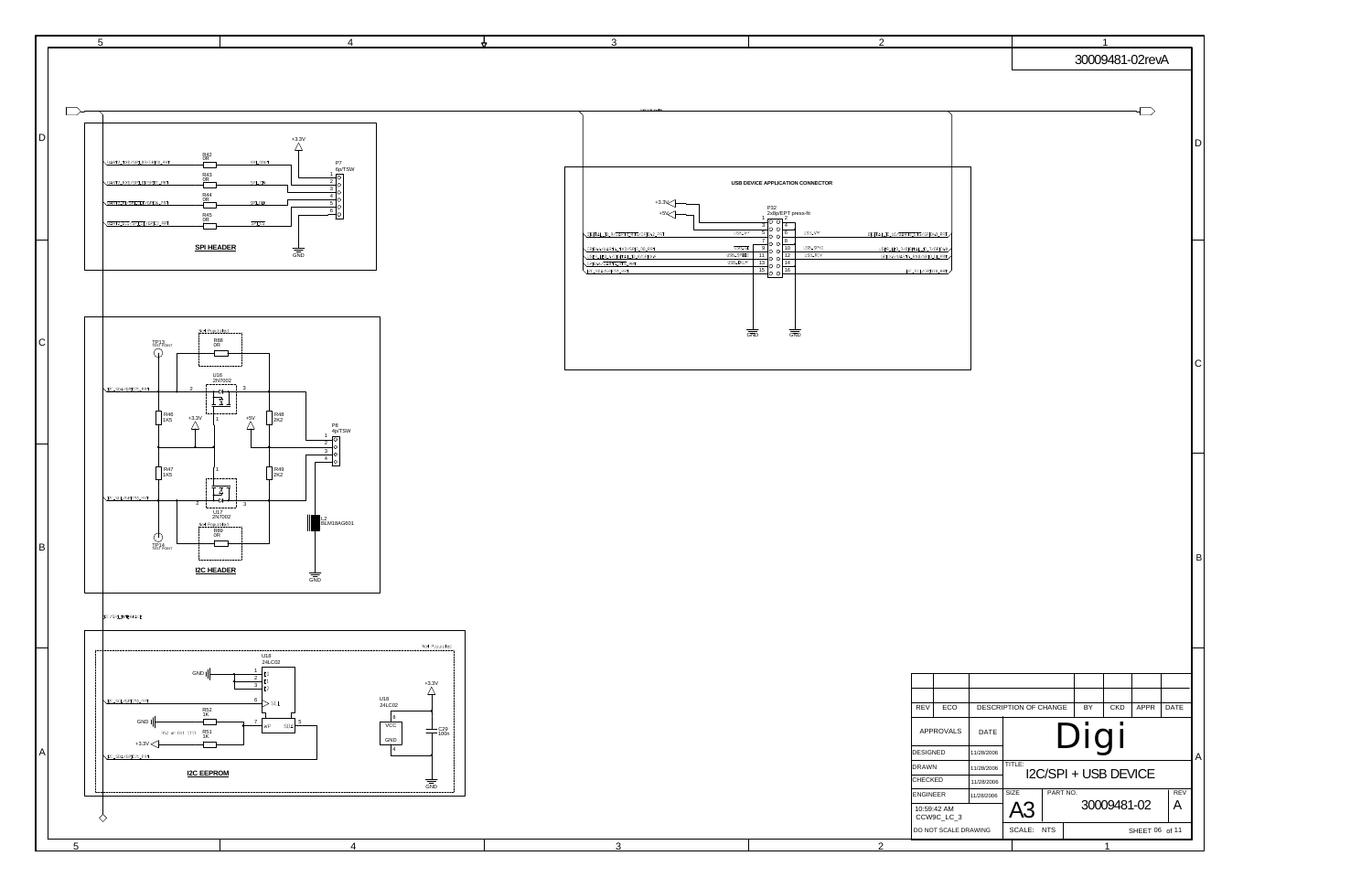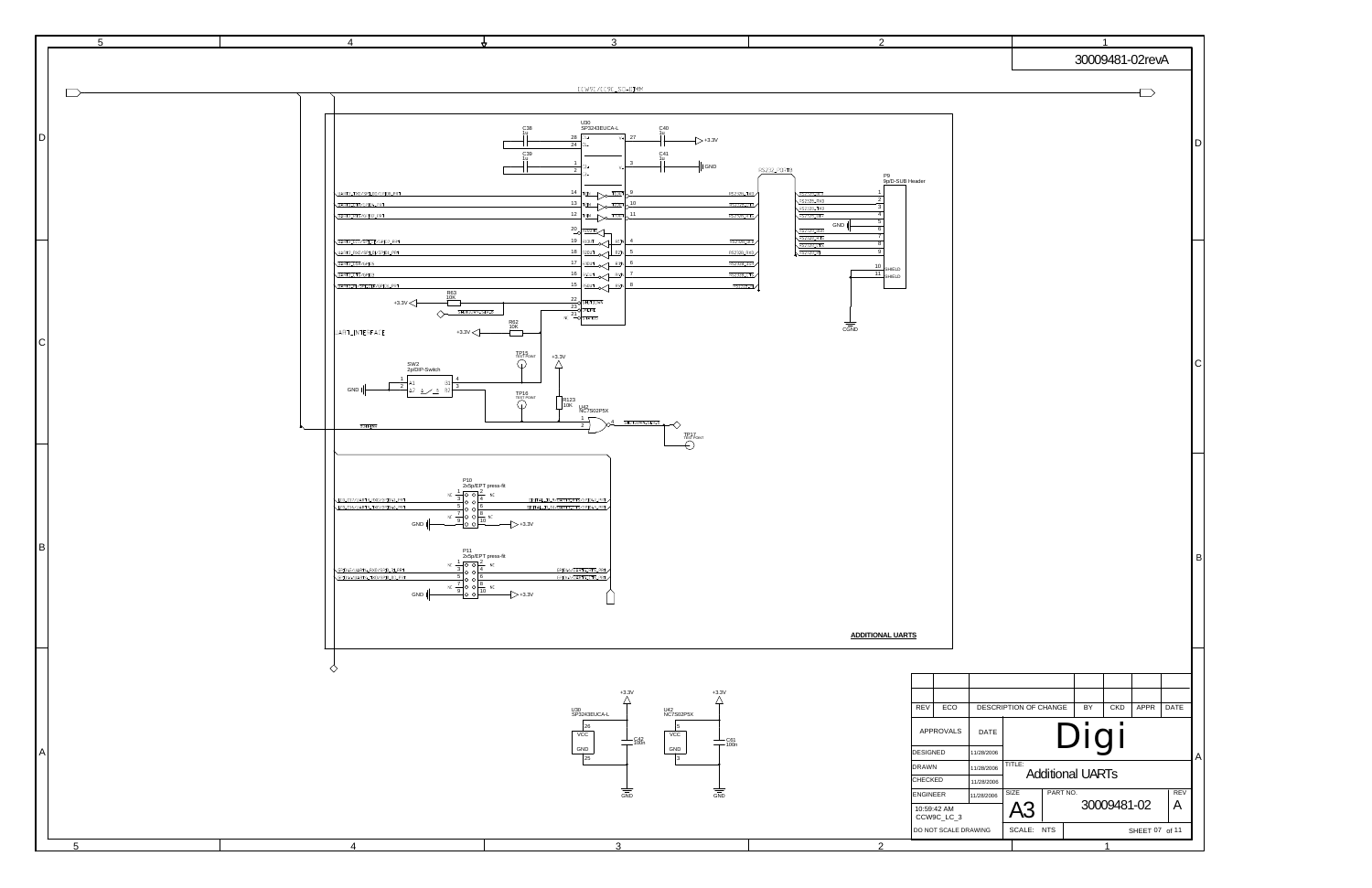

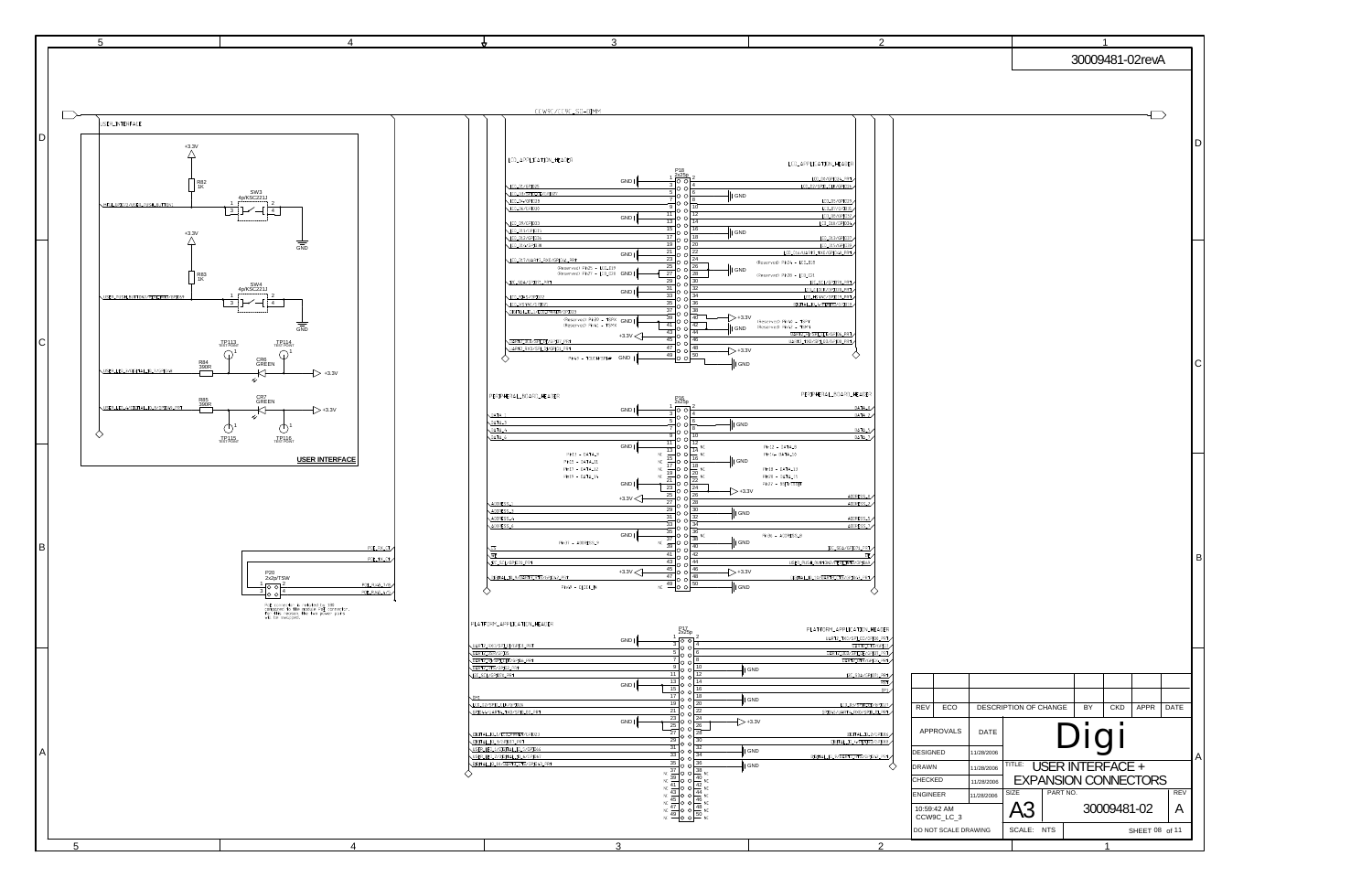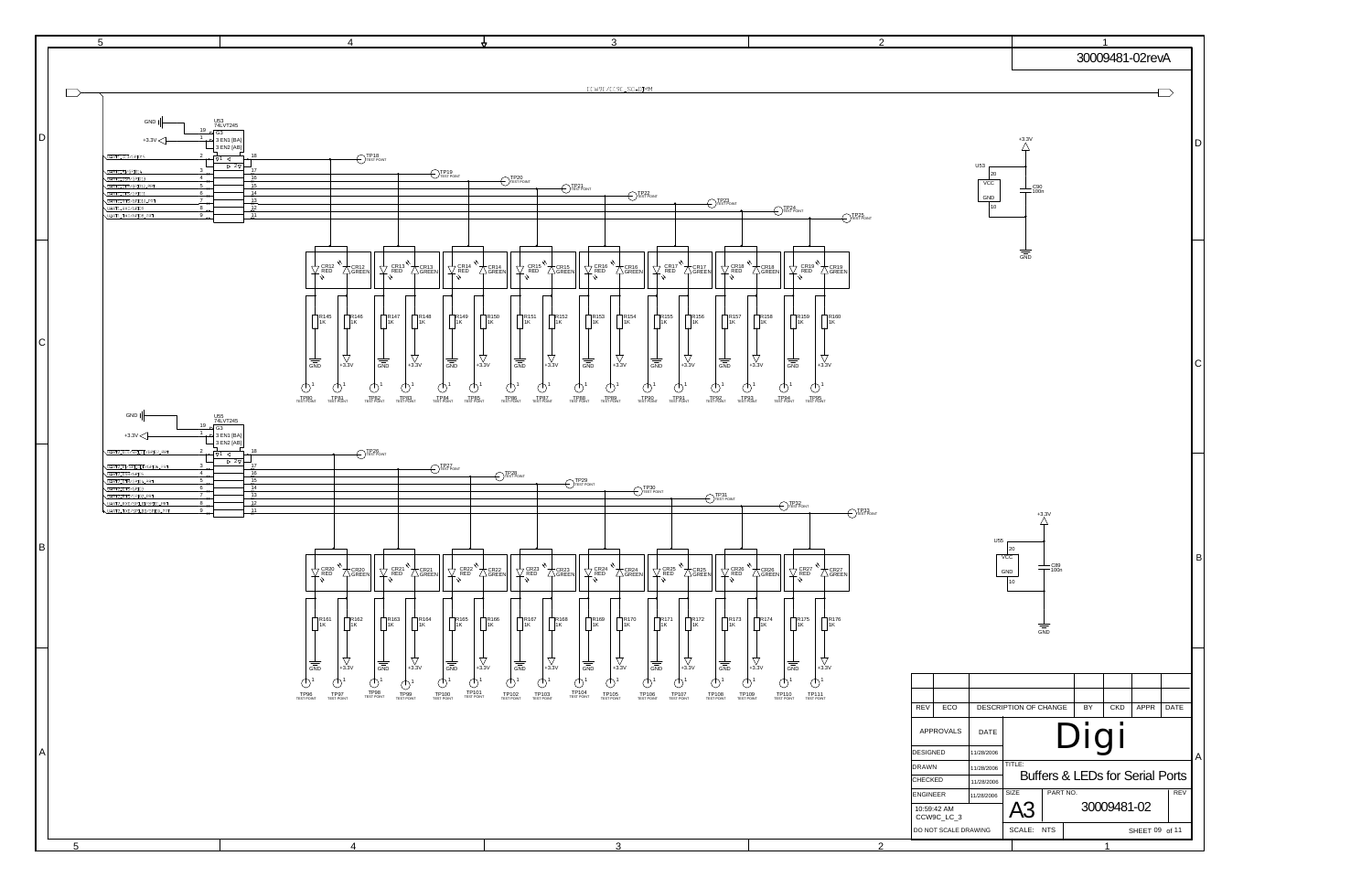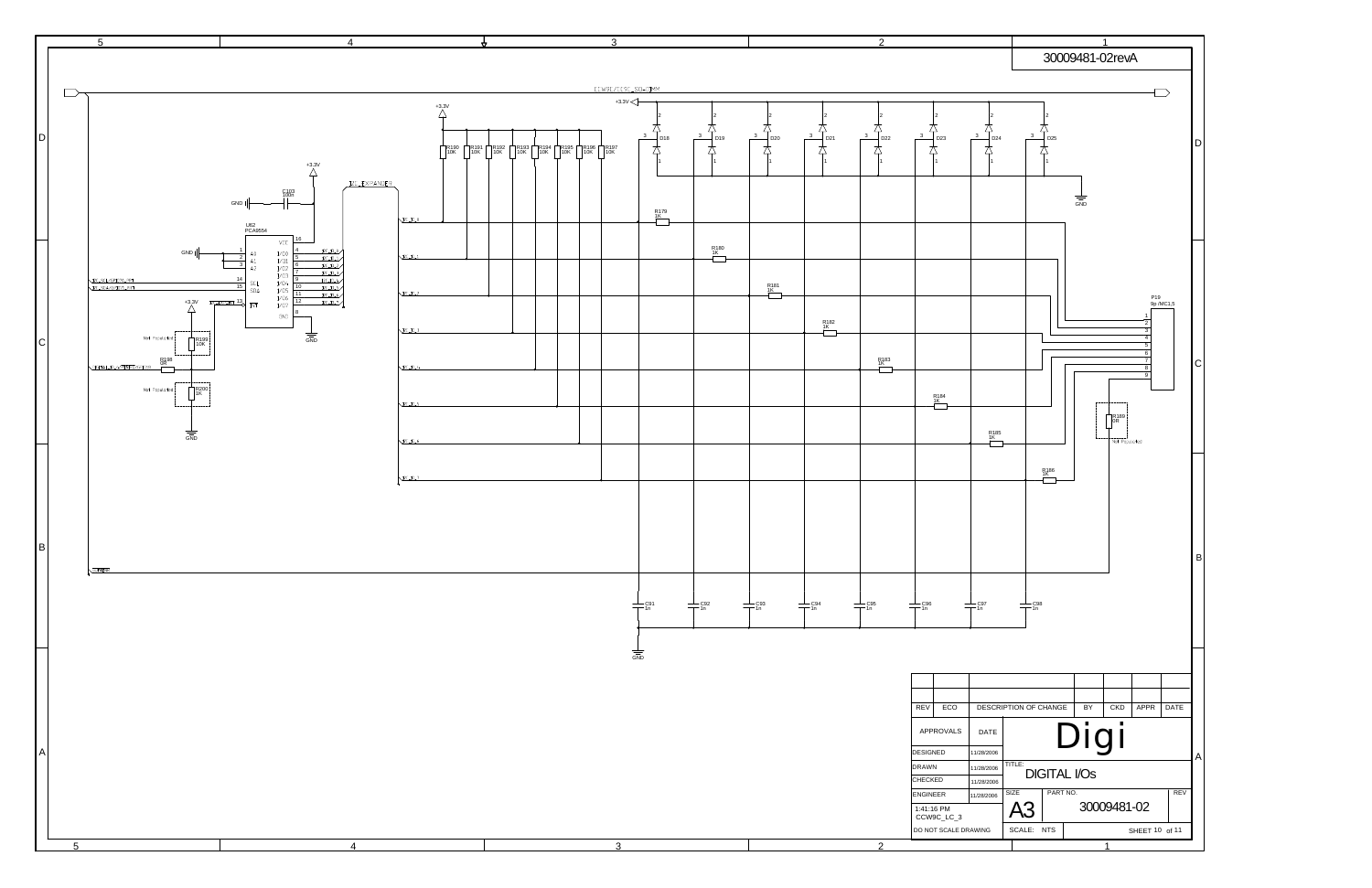